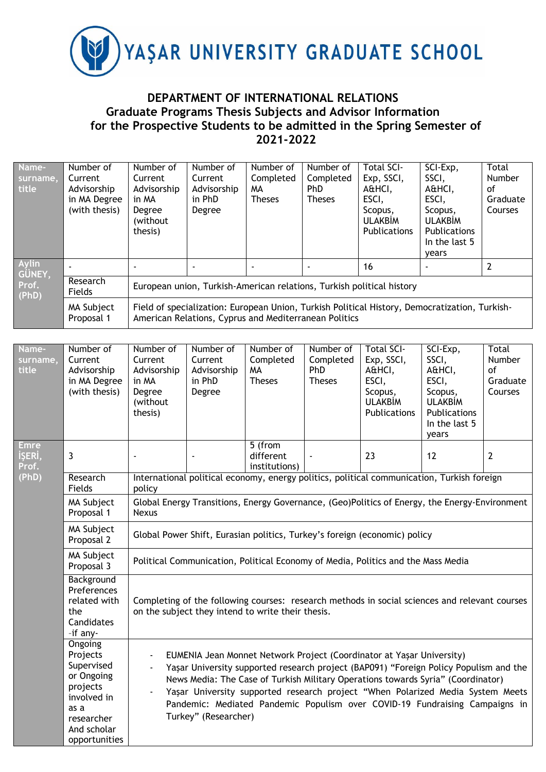

## **DEPARTMENT OF INTERNATIONAL RELATIONS Graduate Programs Thesis Subjects and Advisor Information for the Prospective Students to be admitted in the Spring Semester of 2021-2022**

| Name-<br>surname,<br>title | Number of<br>Current<br>Advisorship<br>in MA Degree<br>(with thesis) | Number of<br>Current<br>Advisorship<br>in MA<br>Degree<br>(without)<br>thesis) | Number of<br>Current<br>Advisorship<br>in PhD<br>Degree                                                                                                | Number of<br>Completed<br>MА<br><b>Theses</b> | Number of<br>Completed<br>PhD<br><b>Theses</b> | <b>Total SCI-</b><br>Exp, SSCI,<br>A&HCI,<br>ESCI,<br>Scopus,<br><b>ULAKBIM</b><br><b>Publications</b> | SCI-Exp,<br>SSCI,<br>A&HCI,<br>ESCI,<br>Scopus,<br><b>ULAKBIM</b><br><b>Publications</b><br>In the last 5<br>vears | Total<br>Number<br>οf<br>Graduate<br>Courses |  |  |
|----------------------------|----------------------------------------------------------------------|--------------------------------------------------------------------------------|--------------------------------------------------------------------------------------------------------------------------------------------------------|-----------------------------------------------|------------------------------------------------|--------------------------------------------------------------------------------------------------------|--------------------------------------------------------------------------------------------------------------------|----------------------------------------------|--|--|
| <b>Aylin</b><br>GÜNEY,     |                                                                      |                                                                                |                                                                                                                                                        |                                               |                                                | 16                                                                                                     |                                                                                                                    |                                              |  |  |
| Prof.<br>(PhD)             | Research<br>Fields                                                   | European union, Turkish-American relations, Turkish political history          |                                                                                                                                                        |                                               |                                                |                                                                                                        |                                                                                                                    |                                              |  |  |
|                            | MA Subject<br>Proposal 1                                             |                                                                                | Field of specialization: European Union, Turkish Political History, Democratization, Turkish-<br>American Relations, Cyprus and Mediterranean Politics |                                               |                                                |                                                                                                        |                                                                                                                    |                                              |  |  |

| Name-<br>surname,<br>title     | Number of<br>Current<br>Advisorship<br>in MA Degree<br>(with thesis)                                                             | Number of<br>Current<br>Advisorship<br>in MA<br>Degree<br>(without<br>thesis)                                                                                                                                                                                                                                                                                                                                                                                           | Number of<br>Current<br>Advisorship<br>in PhD<br>Degree                                    | Number of<br>Completed<br><b>MA</b><br><b>Theses</b> | Number of<br>Completed<br>PhD<br><b>Theses</b> | <b>Total SCI-</b><br>Exp, SSCI,<br>A&HCI,<br>ESCI,<br>Scopus,<br><b>ULAKBİM</b><br>Publications | SCI-Exp,<br>SSCI,<br>A&HCI,<br>ESCI,<br>Scopus,<br><b>ULAKBİM</b><br>Publications<br>In the last 5<br>years | Total<br>Number<br>of<br>Graduate<br>Courses |  |  |
|--------------------------------|----------------------------------------------------------------------------------------------------------------------------------|-------------------------------------------------------------------------------------------------------------------------------------------------------------------------------------------------------------------------------------------------------------------------------------------------------------------------------------------------------------------------------------------------------------------------------------------------------------------------|--------------------------------------------------------------------------------------------|------------------------------------------------------|------------------------------------------------|-------------------------------------------------------------------------------------------------|-------------------------------------------------------------------------------------------------------------|----------------------------------------------|--|--|
| <b>Emre</b><br>İŞERİ,<br>Prof. | 3                                                                                                                                | ÷,                                                                                                                                                                                                                                                                                                                                                                                                                                                                      | $\blacksquare$                                                                             | 5 (from<br>different<br>institutions)                |                                                | 23                                                                                              | 12                                                                                                          | $\overline{2}$                               |  |  |
| (PhD)                          | Research<br>Fields                                                                                                               | policy                                                                                                                                                                                                                                                                                                                                                                                                                                                                  | International political economy, energy politics, political communication, Turkish foreign |                                                      |                                                |                                                                                                 |                                                                                                             |                                              |  |  |
|                                | <b>MA Subject</b><br>Proposal 1                                                                                                  | Global Energy Transitions, Energy Governance, (Geo)Politics of Energy, the Energy-Environment<br><b>Nexus</b>                                                                                                                                                                                                                                                                                                                                                           |                                                                                            |                                                      |                                                |                                                                                                 |                                                                                                             |                                              |  |  |
|                                | MA Subject<br>Proposal 2                                                                                                         | Global Power Shift, Eurasian politics, Turkey's foreign (economic) policy                                                                                                                                                                                                                                                                                                                                                                                               |                                                                                            |                                                      |                                                |                                                                                                 |                                                                                                             |                                              |  |  |
|                                | MA Subject<br>Proposal 3                                                                                                         | Political Communication, Political Economy of Media, Politics and the Mass Media                                                                                                                                                                                                                                                                                                                                                                                        |                                                                                            |                                                      |                                                |                                                                                                 |                                                                                                             |                                              |  |  |
|                                | Background<br>Preferences<br>related with<br>the<br>Candidates<br>-if any-                                                       | Completing of the following courses: research methods in social sciences and relevant courses<br>on the subject they intend to write their thesis.                                                                                                                                                                                                                                                                                                                      |                                                                                            |                                                      |                                                |                                                                                                 |                                                                                                             |                                              |  |  |
|                                | Ongoing<br>Projects<br>Supervised<br>or Ongoing<br>projects<br>involved in<br>as a<br>researcher<br>And scholar<br>opportunities | EUMENIA Jean Monnet Network Project (Coordinator at Yaşar University)<br>$\overline{\phantom{a}}$<br>Yaşar University supported research project (BAP091) "Foreign Policy Populism and the<br>News Media: The Case of Turkish Military Operations towards Syria" (Coordinator)<br>Yaşar University supported research project "When Polarized Media System Meets<br>Pandemic: Mediated Pandemic Populism over COVID-19 Fundraising Campaigns in<br>Turkey" (Researcher) |                                                                                            |                                                      |                                                |                                                                                                 |                                                                                                             |                                              |  |  |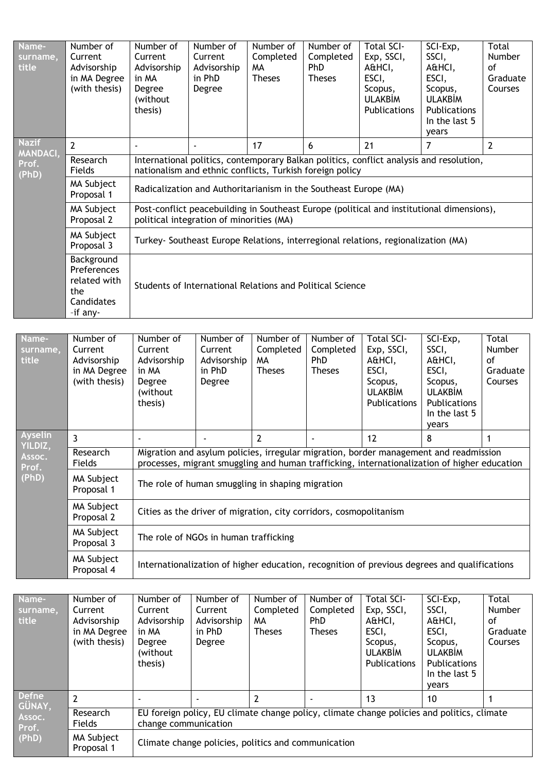| Name-<br>surname,<br>title      | Number of<br>Current<br>Advisorship<br>in MA Degree<br>(with thesis)       | Number of<br>Current<br>Advisorship<br>in MA<br>Degree<br>(without<br>thesis) | Number of<br>Current<br>Advisorship<br>in PhD<br>Degree            | Number of<br>Completed<br><b>MA</b><br><b>Theses</b> | Number of<br>Completed<br>PhD<br><b>Theses</b> | <b>Total SCI-</b><br>Exp, SSCI,<br>A&HCI,<br>ESCI,<br>Scopus,<br><b>ULAKBİM</b><br>Publications                                                                                       | SCI-Exp,<br>SSCI,<br>A&HCI,<br>ESCI,<br>Scopus,<br><b>ULAKBİM</b><br>Publications<br>In the last 5<br>years        | <b>Total</b><br>Number<br>of<br>Graduate<br>Courses |  |  |
|---------------------------------|----------------------------------------------------------------------------|-------------------------------------------------------------------------------|--------------------------------------------------------------------|------------------------------------------------------|------------------------------------------------|---------------------------------------------------------------------------------------------------------------------------------------------------------------------------------------|--------------------------------------------------------------------------------------------------------------------|-----------------------------------------------------|--|--|
| <b>Nazif</b><br><b>MANDACI,</b> | $\mathbf{2}$                                                               |                                                                               |                                                                    | 17                                                   | 6                                              | 21                                                                                                                                                                                    | $\overline{7}$                                                                                                     | $\overline{2}$                                      |  |  |
| Prof.<br>(PhD)                  | Research<br>Fields                                                         |                                                                               | nationalism and ethnic conflicts, Turkish foreign policy           |                                                      |                                                | International politics, contemporary Balkan politics, conflict analysis and resolution,                                                                                               |                                                                                                                    |                                                     |  |  |
|                                 | MA Subject<br>Proposal 1                                                   |                                                                               | Radicalization and Authoritarianism in the Southeast Europe (MA)   |                                                      |                                                |                                                                                                                                                                                       |                                                                                                                    |                                                     |  |  |
|                                 | MA Subject<br>Proposal 2                                                   |                                                                               | political integration of minorities (MA)                           |                                                      |                                                | Post-conflict peacebuilding in Southeast Europe (political and institutional dimensions),                                                                                             |                                                                                                                    |                                                     |  |  |
|                                 | MA Subject<br>Proposal 3                                                   |                                                                               |                                                                    |                                                      |                                                | Turkey- Southeast Europe Relations, interregional relations, regionalization (MA)                                                                                                     |                                                                                                                    |                                                     |  |  |
|                                 | Background<br>Preferences<br>related with<br>the<br>Candidates<br>-if any- |                                                                               | Students of International Relations and Political Science          |                                                      |                                                |                                                                                                                                                                                       |                                                                                                                    |                                                     |  |  |
|                                 |                                                                            |                                                                               |                                                                    |                                                      |                                                |                                                                                                                                                                                       |                                                                                                                    |                                                     |  |  |
| Name-<br>surname,<br>title      | Number of<br>Current<br>Advisorship<br>in MA Degree<br>(with thesis)       | Number of<br>Current<br>Advisorship<br>in MA<br>Degree<br>(without<br>thesis) | Number of<br>Current<br>Advisorship<br>in PhD<br>Degree            | Number of<br>Completed<br><b>MA</b><br><b>Theses</b> | Number of<br>Completed<br>PhD<br><b>Theses</b> | <b>Total SCI-</b><br>Exp, SSCI,<br>A&HCI,<br>ESCI,<br>Scopus,<br><b>ULAKBİM</b><br>Publications                                                                                       | SCI-Exp,<br>SSCI,<br>A&HCI,<br>ESCI,<br>Scopus,<br><b>ULAKBİM</b><br><b>Publications</b><br>In the last 5<br>years | <b>Total</b><br>Number<br>of<br>Graduate<br>Courses |  |  |
| <b>Ayselin</b><br>YILDIZ.       | $\overline{3}$                                                             |                                                                               |                                                                    | $\overline{2}$                                       |                                                | 12                                                                                                                                                                                    | 8                                                                                                                  | 1                                                   |  |  |
| Assoc.<br>Prof.                 | Research<br>Fields                                                         |                                                                               |                                                                    |                                                      |                                                | Migration and asylum policies, irregular migration, border management and readmission<br>processes, migrant smuggling and human trafficking, internationalization of higher education |                                                                                                                    |                                                     |  |  |
| (PhD)                           | MA Subject<br>Proposal 1                                                   |                                                                               | The role of human smuggling in shaping migration                   |                                                      |                                                |                                                                                                                                                                                       |                                                                                                                    |                                                     |  |  |
|                                 | MA Subject<br>Proposal 2                                                   |                                                                               | Cities as the driver of migration, city corridors, cosmopolitanism |                                                      |                                                |                                                                                                                                                                                       |                                                                                                                    |                                                     |  |  |
|                                 | MA Subject<br>Proposal 3                                                   |                                                                               | The role of NGOs in human trafficking                              |                                                      |                                                |                                                                                                                                                                                       |                                                                                                                    |                                                     |  |  |
|                                 | MA Subject<br>Proposal 4                                                   |                                                                               |                                                                    |                                                      |                                                | Internationalization of higher education, recognition of previous degrees and qualifications                                                                                          |                                                                                                                    |                                                     |  |  |

| Name-                  | Number of                | Number of            | Number of                                           | Number of     | Number of     | <b>Total SCI-</b>   | SCI-Exp,                                                                                   | Total    |
|------------------------|--------------------------|----------------------|-----------------------------------------------------|---------------|---------------|---------------------|--------------------------------------------------------------------------------------------|----------|
| surname,               | Current                  | Current              | Current                                             | Completed     | Completed     | Exp, SSCI,          | SSCI,                                                                                      | Number   |
| title                  | Advisorship              | Advisorship          | Advisorship                                         | MΑ            | PhD           | A&HCI,              | A&HCI,                                                                                     | οf       |
|                        | in MA Degree             | in MA                | in PhD                                              | <b>Theses</b> | <b>Theses</b> | ESCI,               | ESCI,                                                                                      | Graduate |
|                        | (with thesis)            | Degree               | Degree                                              |               |               | Scopus,             | Scopus,                                                                                    | Courses  |
|                        |                          | (without             |                                                     |               |               | <b>ULAKBIM</b>      | <b>ULAKBIM</b>                                                                             |          |
|                        |                          | thesis)              |                                                     |               |               | <b>Publications</b> | Publications                                                                               |          |
|                        |                          |                      |                                                     |               |               |                     | In the last 5                                                                              |          |
|                        |                          |                      |                                                     |               |               |                     | vears                                                                                      |          |
| <b>Defne</b><br>GÜNAY, | $\overline{2}$           |                      |                                                     |               |               | 13                  | 10                                                                                         |          |
| Assoc.                 | Research                 |                      |                                                     |               |               |                     | EU foreign policy, EU climate change policy, climate change policies and politics, climate |          |
| Prof.<br>(PhD)         | Fields                   | change communication |                                                     |               |               |                     |                                                                                            |          |
|                        | MA Subject<br>Proposal 1 |                      | Climate change policies, politics and communication |               |               |                     |                                                                                            |          |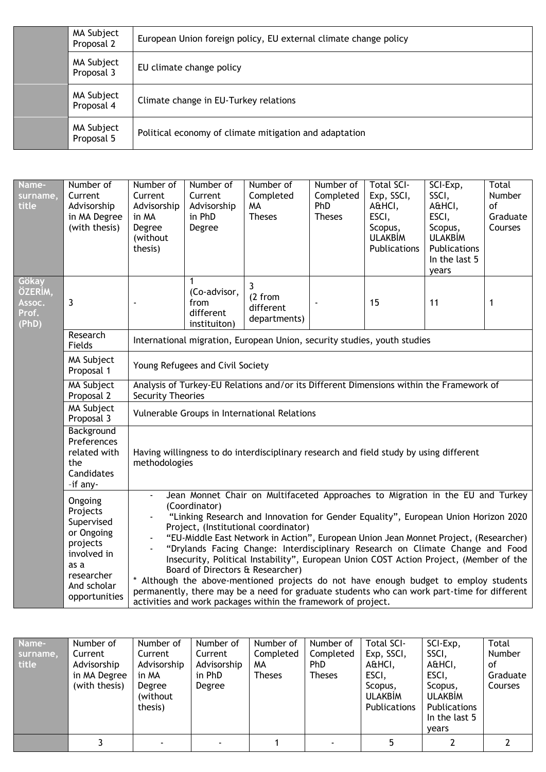| MA Subject<br>European Union foreign policy, EU external climate change policy<br>Proposal 2 |  |
|----------------------------------------------------------------------------------------------|--|
| MA Subject<br>EU climate change policy<br>Proposal 3                                         |  |
| MA Subject<br>Climate change in EU-Turkey relations<br>Proposal 4                            |  |
| MA Subject<br>Political economy of climate mitigation and adaptation<br>Proposal 5           |  |

| Name-<br>surname,<br>title                                                                                                                      | Number of<br>Current<br>Advisorship<br>in MA Degree<br>(with thesis)                                                             | Number of<br>Current<br>Advisorship<br>in MA<br>Degree<br>(without<br>thesis)                                                                                                                                                                                                                                                                                                                                                                                                                                                                                                                                                                                                                                                                                                                 | Number of<br>Current<br>Advisorship<br>in PhD<br>Degree | Number of<br>Completed<br>MA<br><b>Theses</b> | Number of<br>Completed<br><b>PhD</b><br><b>Theses</b> | <b>Total SCI-</b><br>Exp, SSCI,<br>A&HCI,<br>ESCI,<br>Scopus,<br><b>ULAKBİM</b><br>Publications | SCI-Exp,<br>SSCI,<br>A&HCI,<br>ESCI,<br>Scopus,<br><b>ULAKBİM</b><br>Publications<br>In the last 5<br>years | Total<br>Number<br>of<br>Graduate<br>Courses |  |  |
|-------------------------------------------------------------------------------------------------------------------------------------------------|----------------------------------------------------------------------------------------------------------------------------------|-----------------------------------------------------------------------------------------------------------------------------------------------------------------------------------------------------------------------------------------------------------------------------------------------------------------------------------------------------------------------------------------------------------------------------------------------------------------------------------------------------------------------------------------------------------------------------------------------------------------------------------------------------------------------------------------------------------------------------------------------------------------------------------------------|---------------------------------------------------------|-----------------------------------------------|-------------------------------------------------------|-------------------------------------------------------------------------------------------------|-------------------------------------------------------------------------------------------------------------|----------------------------------------------|--|--|
| Gökay<br>ÖZERÎM,<br>Assoc.<br>Prof.<br>(PhD)                                                                                                    | 3                                                                                                                                |                                                                                                                                                                                                                                                                                                                                                                                                                                                                                                                                                                                                                                                                                                                                                                                               | 1<br>(Co-advisor,<br>from<br>different<br>instituiton)  | 3<br>(2 from<br>different<br>departments)     |                                                       | 15                                                                                              | 11                                                                                                          | $\mathbf{1}$                                 |  |  |
|                                                                                                                                                 | Research<br>Fields                                                                                                               | International migration, European Union, security studies, youth studies                                                                                                                                                                                                                                                                                                                                                                                                                                                                                                                                                                                                                                                                                                                      |                                                         |                                               |                                                       |                                                                                                 |                                                                                                             |                                              |  |  |
|                                                                                                                                                 | MA Subject<br>Proposal 1                                                                                                         | Young Refugees and Civil Society                                                                                                                                                                                                                                                                                                                                                                                                                                                                                                                                                                                                                                                                                                                                                              |                                                         |                                               |                                                       |                                                                                                 |                                                                                                             |                                              |  |  |
| Analysis of Turkey-EU Relations and/or its Different Dimensions within the Framework of<br><b>MA Subject</b><br>Proposal 2<br>Security Theories |                                                                                                                                  |                                                                                                                                                                                                                                                                                                                                                                                                                                                                                                                                                                                                                                                                                                                                                                                               |                                                         |                                               |                                                       |                                                                                                 |                                                                                                             |                                              |  |  |
|                                                                                                                                                 | MA Subject<br>Proposal 3                                                                                                         |                                                                                                                                                                                                                                                                                                                                                                                                                                                                                                                                                                                                                                                                                                                                                                                               |                                                         | Vulnerable Groups in International Relations  |                                                       |                                                                                                 |                                                                                                             |                                              |  |  |
|                                                                                                                                                 | Background<br>Preferences<br>related with<br>the<br>Candidates<br>-if any-                                                       | Having willingness to do interdisciplinary research and field study by using different<br>methodologies                                                                                                                                                                                                                                                                                                                                                                                                                                                                                                                                                                                                                                                                                       |                                                         |                                               |                                                       |                                                                                                 |                                                                                                             |                                              |  |  |
|                                                                                                                                                 | Ongoing<br>Projects<br>Supervised<br>or Ongoing<br>projects<br>involved in<br>as a<br>researcher<br>And scholar<br>opportunities | Jean Monnet Chair on Multifaceted Approaches to Migration in the EU and Turkey<br>(Coordinator)<br>"Linking Research and Innovation for Gender Equality", European Union Horizon 2020<br>Project, (Institutional coordinator)<br>"EU-Middle East Network in Action", European Union Jean Monnet Project, (Researcher)<br>"Drylands Facing Change: Interdisciplinary Research on Climate Change and Food<br>Insecurity, Political Instability", European Union COST Action Project, (Member of the<br>Board of Directors & Researcher)<br>* Although the above-mentioned projects do not have enough budget to employ students<br>permanently, there may be a need for graduate students who can work part-time for different<br>activities and work packages within the framework of project. |                                                         |                                               |                                                       |                                                                                                 |                                                                                                             |                                              |  |  |

| Name-<br>surname,<br>title | Number of<br>Current<br>Advisorship<br>in MA Degree<br>(with thesis) | Number of<br>Current<br>Advisorship<br>in MA<br>Degree<br>(without)<br>thesis) | Number of<br>Current<br>Advisorship<br>in PhD<br>Degree | Number of<br>Completed<br>MA<br><b>Theses</b> | Number of<br>Completed<br>PhD.<br><b>Theses</b> | <b>Total SCI-</b><br>Exp, SSCI,<br>A&HCI,<br>ESCI,<br>Scopus,<br><b>ULAKBIM</b><br><b>Publications</b> | SCI-Exp,<br>SSCI,<br>A&HCI,<br>ESCI,<br>Scopus,<br><b>ULAKBIM</b><br><b>Publications</b><br>In the last 5<br>years | Total<br>Number<br>οf<br>Graduate<br>Courses |
|----------------------------|----------------------------------------------------------------------|--------------------------------------------------------------------------------|---------------------------------------------------------|-----------------------------------------------|-------------------------------------------------|--------------------------------------------------------------------------------------------------------|--------------------------------------------------------------------------------------------------------------------|----------------------------------------------|
|                            |                                                                      |                                                                                |                                                         |                                               |                                                 |                                                                                                        |                                                                                                                    |                                              |